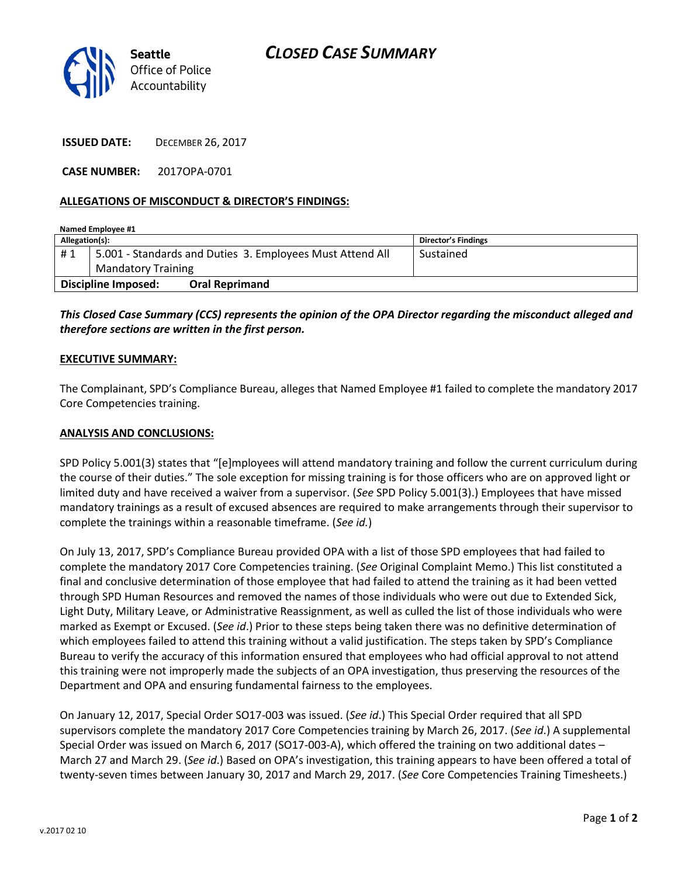

**ISSUED DATE:** DECEMBER 26, 2017

**CASE NUMBER:** 2017OPA-0701

## **ALLEGATIONS OF MISCONDUCT & DIRECTOR'S FINDINGS:**

| Named Employee #1   |                                                           |                       |                     |
|---------------------|-----------------------------------------------------------|-----------------------|---------------------|
| Allegation(s):      |                                                           |                       | Director's Findings |
| #1                  | 5.001 - Standards and Duties 3. Employees Must Attend All |                       | Sustained           |
|                     | <b>Mandatory Training</b>                                 |                       |                     |
| Discipline Imposed: |                                                           | <b>Oral Reprimand</b> |                     |

*This Closed Case Summary (CCS) represents the opinion of the OPA Director regarding the misconduct alleged and therefore sections are written in the first person.* 

## **EXECUTIVE SUMMARY:**

The Complainant, SPD's Compliance Bureau, alleges that Named Employee #1 failed to complete the mandatory 2017 Core Competencies training.

## **ANALYSIS AND CONCLUSIONS:**

SPD Policy 5.001(3) states that "[e]mployees will attend mandatory training and follow the current curriculum during the course of their duties." The sole exception for missing training is for those officers who are on approved light or limited duty and have received a waiver from a supervisor. (*See* SPD Policy 5.001(3).) Employees that have missed mandatory trainings as a result of excused absences are required to make arrangements through their supervisor to complete the trainings within a reasonable timeframe. (*See id.*)

On July 13, 2017, SPD's Compliance Bureau provided OPA with a list of those SPD employees that had failed to complete the mandatory 2017 Core Competencies training. (*See* Original Complaint Memo.) This list constituted a final and conclusive determination of those employee that had failed to attend the training as it had been vetted through SPD Human Resources and removed the names of those individuals who were out due to Extended Sick, Light Duty, Military Leave, or Administrative Reassignment, as well as culled the list of those individuals who were marked as Exempt or Excused. (*See id*.) Prior to these steps being taken there was no definitive determination of which employees failed to attend this training without a valid justification. The steps taken by SPD's Compliance Bureau to verify the accuracy of this information ensured that employees who had official approval to not attend this training were not improperly made the subjects of an OPA investigation, thus preserving the resources of the Department and OPA and ensuring fundamental fairness to the employees.

On January 12, 2017, Special Order SO17-003 was issued. (*See id*.) This Special Order required that all SPD supervisors complete the mandatory 2017 Core Competencies training by March 26, 2017. (*See id*.) A supplemental Special Order was issued on March 6, 2017 (SO17-003-A), which offered the training on two additional dates – March 27 and March 29. (*See id*.) Based on OPA's investigation, this training appears to have been offered a total of twenty-seven times between January 30, 2017 and March 29, 2017. (*See* Core Competencies Training Timesheets.)